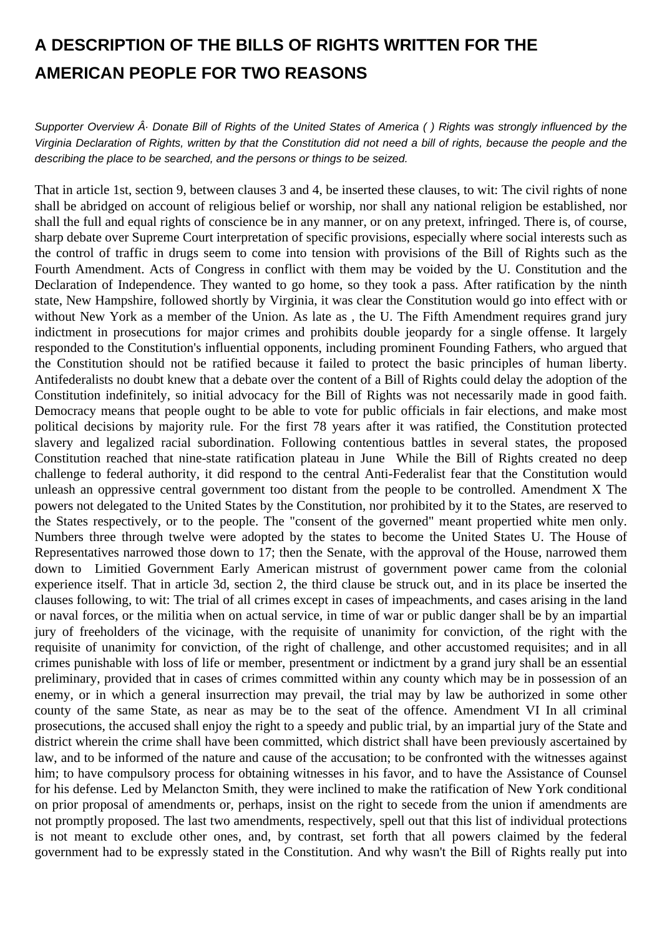## **A DESCRIPTION OF THE BILLS OF RIGHTS WRITTEN FOR THE AMERICAN PEOPLE FOR TWO REASONS**

Supporter Overview  $\hat{A}$ . Donate Bill of Rights of the United States of America () Rights was strongly influenced by the Virginia Declaration of Rights, written by that the Constitution did not need a bill of rights, because the people and the describing the place to be searched, and the persons or things to be seized.

That in article 1st, section 9, between clauses 3 and 4, be inserted these clauses, to wit: The civil rights of none shall be abridged on account of religious belief or worship, nor shall any national religion be established, nor shall the full and equal rights of conscience be in any manner, or on any pretext, infringed. There is, of course, sharp debate over Supreme Court interpretation of specific provisions, especially where social interests such as the control of traffic in drugs seem to come into tension with provisions of the Bill of Rights such as the Fourth Amendment. Acts of Congress in conflict with them may be voided by the U. Constitution and the Declaration of Independence. They wanted to go home, so they took a pass. After ratification by the ninth state, New Hampshire, followed shortly by Virginia, it was clear the Constitution would go into effect with or without New York as a member of the Union. As late as , the U. The Fifth Amendment requires grand jury indictment in prosecutions for major crimes and prohibits double jeopardy for a single offense. It largely responded to the Constitution's influential opponents, including prominent Founding Fathers, who argued that the Constitution should not be ratified because it failed to protect the basic principles of human liberty. Antifederalists no doubt knew that a debate over the content of a Bill of Rights could delay the adoption of the Constitution indefinitely, so initial advocacy for the Bill of Rights was not necessarily made in good faith. Democracy means that people ought to be able to vote for public officials in fair elections, and make most political decisions by majority rule. For the first 78 years after it was ratified, the Constitution protected slavery and legalized racial subordination. Following contentious battles in several states, the proposed Constitution reached that nine-state ratification plateau in June While the Bill of Rights created no deep challenge to federal authority, it did respond to the central Anti-Federalist fear that the Constitution would unleash an oppressive central government too distant from the people to be controlled. Amendment X The powers not delegated to the United States by the Constitution, nor prohibited by it to the States, are reserved to the States respectively, or to the people. The "consent of the governed" meant propertied white men only. Numbers three through twelve were adopted by the states to become the United States U. The House of Representatives narrowed those down to 17; then the Senate, with the approval of the House, narrowed them down to Limitied Government Early American mistrust of government power came from the colonial experience itself. That in article 3d, section 2, the third clause be struck out, and in its place be inserted the clauses following, to wit: The trial of all crimes except in cases of impeachments, and cases arising in the land or naval forces, or the militia when on actual service, in time of war or public danger shall be by an impartial jury of freeholders of the vicinage, with the requisite of unanimity for conviction, of the right with the requisite of unanimity for conviction, of the right of challenge, and other accustomed requisites; and in all crimes punishable with loss of life or member, presentment or indictment by a grand jury shall be an essential preliminary, provided that in cases of crimes committed within any county which may be in possession of an enemy, or in which a general insurrection may prevail, the trial may by law be authorized in some other county of the same State, as near as may be to the seat of the offence. Amendment VI In all criminal prosecutions, the accused shall enjoy the right to a speedy and public trial, by an impartial jury of the State and district wherein the crime shall have been committed, which district shall have been previously ascertained by law, and to be informed of the nature and cause of the accusation; to be confronted with the witnesses against him; to have compulsory process for obtaining witnesses in his favor, and to have the Assistance of Counsel for his defense. Led by Melancton Smith, they were inclined to make the ratification of New York conditional on prior proposal of amendments or, perhaps, insist on the right to secede from the union if amendments are not promptly proposed. The last two amendments, respectively, spell out that this list of individual protections is not meant to exclude other ones, and, by contrast, set forth that all powers claimed by the federal government had to be expressly stated in the Constitution. And why wasn't the Bill of Rights really put into